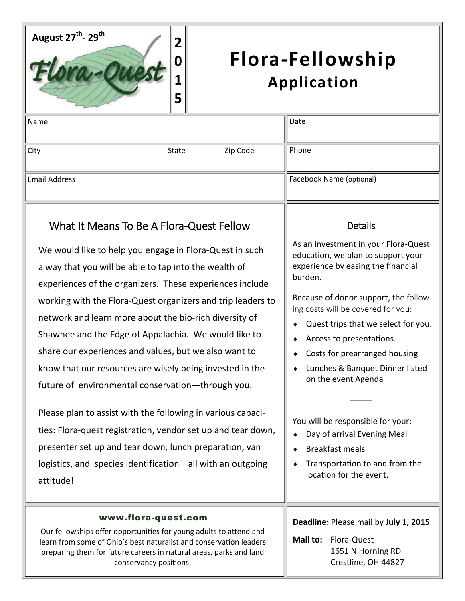

## **Flora‐Fellowship Application**

| Name                 |       |          | Date                     |
|----------------------|-------|----------|--------------------------|
|                      |       |          |                          |
| City                 | State | Zip Code | Phone                    |
|                      |       |          |                          |
| <b>Email Address</b> |       |          | Facebook Name (optional) |
|                      |       |          |                          |

## What It Means To Be A Flora‐Quest Fellow

We would like to help you engage in Flora-Quest in such a way that you will be able to tap into the wealth of experiences of the organizers. These experiences include working with the Flora‐Quest organizers and trip leaders to network and learn more about the bio‐rich diversity of Shawnee and the Edge of Appalachia. We would like to share our experiences and values, but we also want to know that our resources are wisely being invested in the future of environmental conservation—through you.

Please plan to assist with the following in various capaci‐ ties: Flora‐quest registration, vendor set up and tear down, presenter set up and tear down, lunch preparation, van logistics, and species identification—all with an outgoing attitude!

## [www.flora-quest.com](http://www.flora-quest.com)

Our fellowships offer opportunities for young adults to attend and learn from some of Ohio's best naturalist and conservation leaders preparing them for future careers in natural areas, parks and land conservancy positions.

## **Details**

As an investment in your Flora‐Quest education, we plan to support your experience by easing the financial burden.

Because of donor support, the follow‐ ing costs will be covered for you:

- Quest trips that we select for you.
- ◆ Access to presentations.
- Costs for prearranged housing
- Lunches & Banquet Dinner listed on the event Agenda

 $\overline{\phantom{a}}$ 

You will be responsible for your:

- Day of arrival Evening Meal
- Breakfast meals
- $\bullet$  Transportation to and from the location for the event.

**Deadline:** Please mail by **July 1, 2015**

**Mail to:**  Flora‐Quest 1651 N Horning RD Crestline, OH 44827